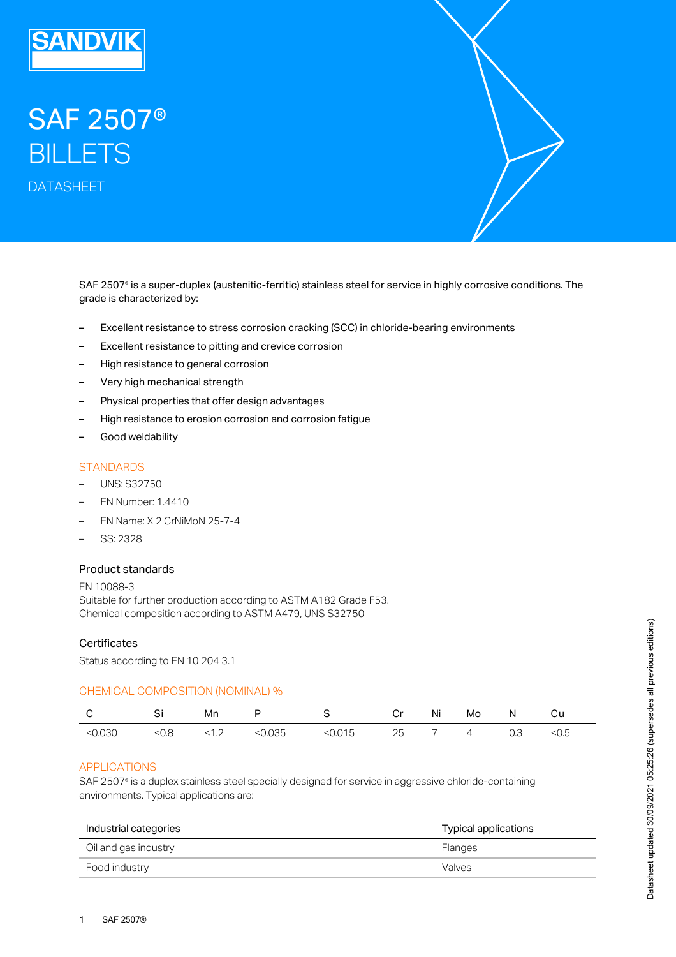

# SAF 2507® **BILLETS** DATASHEET

SAF 2507® is a super-duplex (austenitic-ferritic) stainless steel for service in highly corrosive conditions. The grade is characterized by:

- Excellent resistance to stress corrosion cracking (SCC) in chloride-bearing environments
- Excellent resistance to pitting and crevice corrosion
- High resistance to general corrosion
- Very high mechanical strength
- Physical properties that offer design advantages
- High resistance to erosion corrosion and corrosion fatigue
- Good weldability

## **STANDARDS**

- UNS: S32750
- EN Number: 1.4410
- EN Name: X 2 CrNiMoN 25-7-4
- SS: 2328

## Product standards

EN 10088-3 Suitable for further production according to ASTM A182 Grade F53. Chemical composition according to ASTM A479, UNS S32750

#### **Certificates**

Status according to EN 10 204 3.1

#### CHEMICAL COMPOSITION (NOMINAL) %

|          |    | Mn  |           |        | r, | Ni | Mo         |     | cи   |
|----------|----|-----|-----------|--------|----|----|------------|-----|------|
| $≤0.030$ | ାନ | - 1 | ≤ $0.035$ | ≤0.015 | 25 |    | $\sqrt{ }$ | 0.3 | ≤U.5 |

## APPLICATIONS

SAF 2507° is a duplex stainless steel specially designed for service in aggressive chloride-containing environments. Typical applications are:

| Industrial categories | Typical applications |  |  |
|-----------------------|----------------------|--|--|
| Oil and gas industry  | <b>Flanges</b>       |  |  |
| Food industry         | Valves               |  |  |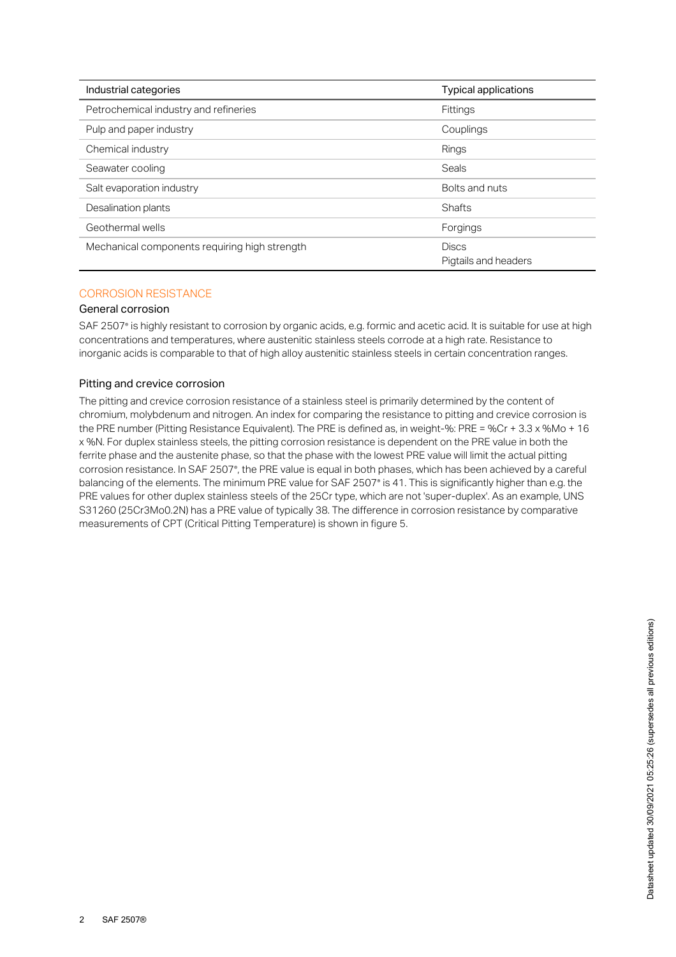| Industrial categories                         | <b>Typical applications</b>          |  |  |
|-----------------------------------------------|--------------------------------------|--|--|
| Petrochemical industry and refineries         | <b>Fittings</b>                      |  |  |
| Pulp and paper industry                       | Couplings                            |  |  |
| Chemical industry                             | Rings                                |  |  |
| Seawater cooling                              | Seals                                |  |  |
| Salt evaporation industry                     | Bolts and nuts                       |  |  |
| Desalination plants                           | <b>Shafts</b>                        |  |  |
| Geothermal wells                              | Forgings                             |  |  |
| Mechanical components requiring high strength | <b>Discs</b><br>Pigtails and headers |  |  |

# CORROSION RESISTANCE

## General corrosion

SAF 2507° is highly resistant to corrosion by organic acids, e.g. formic and acetic acid. It is suitable for use at high concentrations and temperatures, where austenitic stainless steels corrode at a high rate. Resistance to inorganic acids is comparable to that of high alloy austenitic stainless steels in certain concentration ranges.

## Pitting and crevice corrosion

The pitting and crevice corrosion resistance of a stainless steel is primarily determined by the content of chromium, molybdenum and nitrogen. An index for comparing the resistance to pitting and crevice corrosion is the PRE number (Pitting Resistance Equivalent). The PRE is defined as, in weight-%: PRE = %Cr + 3.3 x %Mo + 16 x %N. For duplex stainless steels, the pitting corrosion resistance is dependent on the PRE value in both the ferrite phase and the austenite phase, so that the phase with the lowest PRE value will limit the actual pitting corrosion resistance. In SAF 2507°, the PRE value is equal in both phases, which has been achieved by a careful balancing of the elements. The minimum PRE value for SAF 2507° is 41. This is significantly higher than e.g. the PRE values for other duplex stainless steels of the 25Cr type, which are not 'super-duplex'. As an example, UNS S31260 (25Cr3Mo0.2N) has a PRE value of typically 38. The difference in corrosion resistance by comparative measurements of CPT (Critical Pitting Temperature) is shown in figure 5.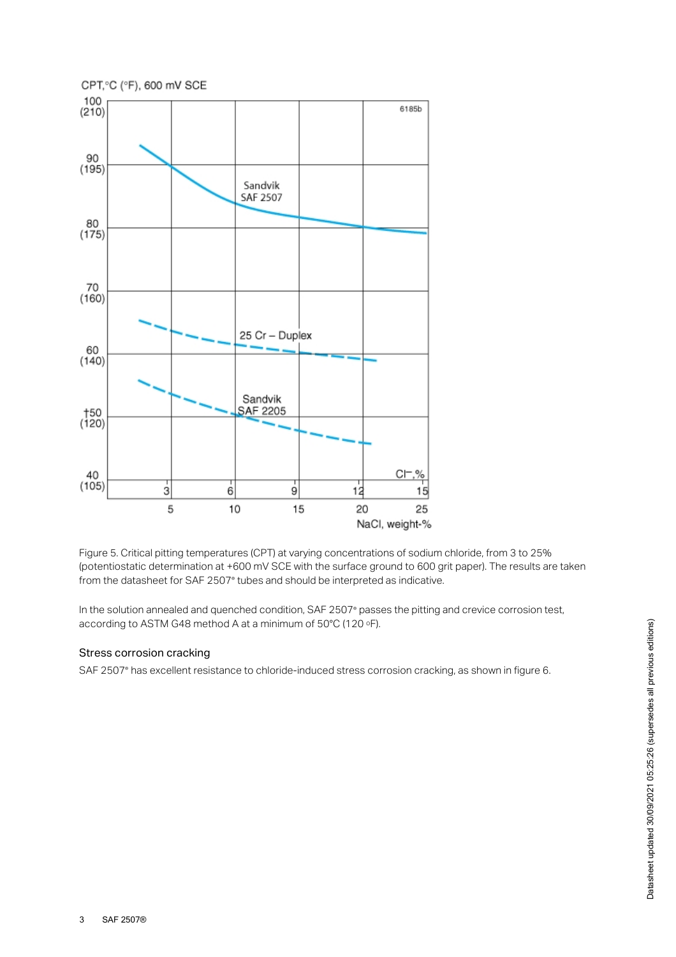



In the solution annealed and quenched condition, SAF 2507<sup>®</sup> passes the pitting and crevice corrosion test, according to ASTM G48 method A at a minimum of 50°C (120 ∘F).

#### Stress corrosion cracking

SAF 2507° has excellent resistance to chloride-induced stress corrosion cracking, as shown in figure 6.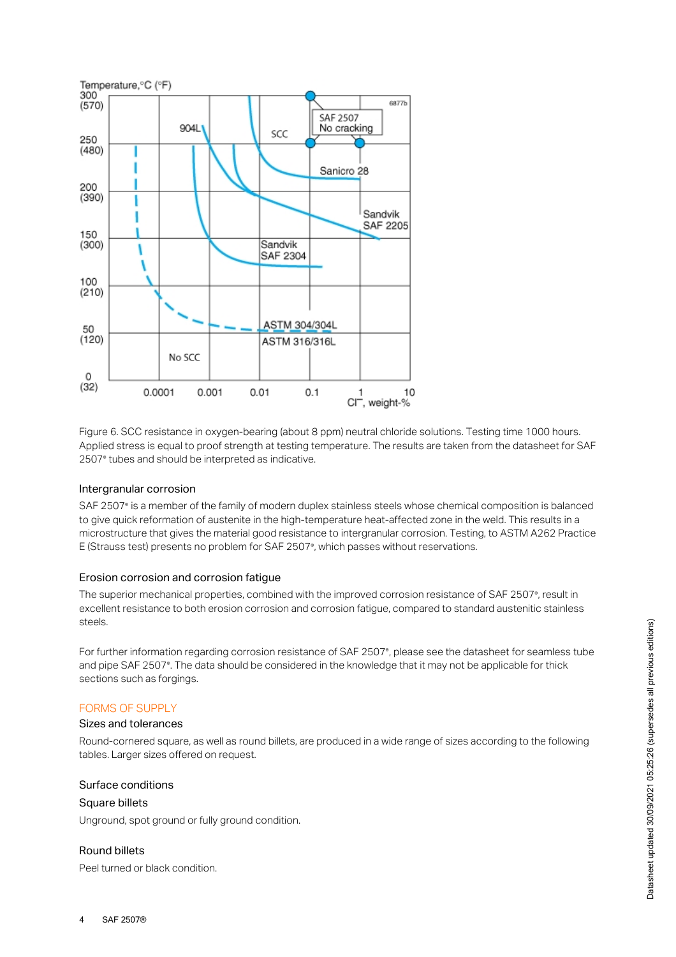

Figure 6. SCC resistance in oxygen-bearing (about 8 ppm) neutral chloride solutions. Testing time 1000 hours. Applied stress is equal to proof strength at testing temperature. The results are taken from the datasheet for SAF 2507<sup>®</sup> tubes and should be interpreted as indicative.

#### Intergranular corrosion

SAF 2507° is a member of the family of modern duplex stainless steels whose chemical composition is balanced to give quick reformation of austenite in the high-temperature heat-affected zone in the weld. This results in a microstructure that gives the material good resistance to intergranular corrosion. Testing, to ASTM A262 Practice E (Strauss test) presents no problem for SAF 2507°, which passes without reservations.

### Erosion corrosion and corrosion fatigue

The superior mechanical properties, combined with the improved corrosion resistance of SAF 2507°, result in excellent resistance to both erosion corrosion and corrosion fatigue, compared to standard austenitic stainless steels.

For further information regarding corrosion resistance of SAF 2507°, please see the datasheet for seamless tube and pipe SAF 2507°. The data should be considered in the knowledge that it may not be applicable for thick sections such as forgings.

#### FORMS OF SUPPLY

#### Sizes and tolerances

Round-cornered square, as well as round billets, are produced in a wide range of sizes according to the following tables. Larger sizes offered on request.

#### Surface conditions

#### Square billets

Unground, spot ground or fully ground condition.

## Round billets

Peel turned or black condition.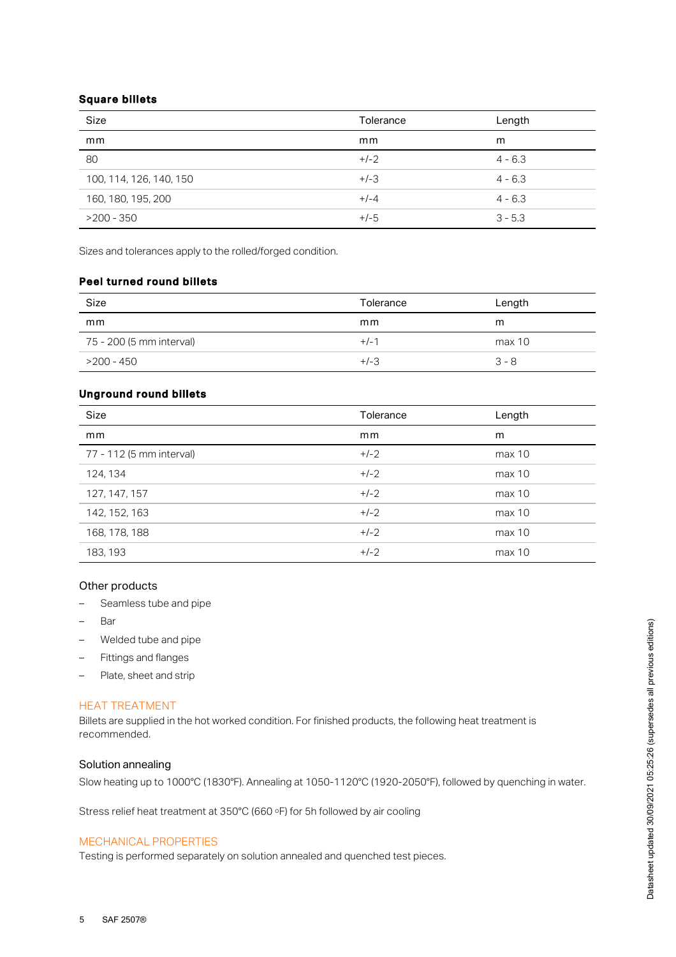## Square billets

| Size                    | Tolerance | Length    |
|-------------------------|-----------|-----------|
| mm                      | mm        | m         |
| 80                      | $+/-2$    | $4 - 6.3$ |
| 100, 114, 126, 140, 150 | $+/-3$    | $4 - 6.3$ |
| 160, 180, 195, 200      | $+/-4$    | $4 - 6.3$ |
| $>200 - 350$            | $+/-5$    | $3 - 5.3$ |

Sizes and tolerances apply to the rolled/forged condition.

# Peel turned round billets

| Size                     | Tolerance | Length  |
|--------------------------|-----------|---------|
| mm                       | mm        | m       |
| 75 - 200 (5 mm interval) | $+/-1$    | max 10  |
| >200 - 450               | $+/-3$    | $3 - 8$ |

# Unground round billets

| Size                     | Tolerance | Length |
|--------------------------|-----------|--------|
| mm                       | mm        | m      |
| 77 - 112 (5 mm interval) | $+/-2$    | max 10 |
| 124, 134                 | $+/-2$    | max 10 |
| 127, 147, 157            | $+/-2$    | max 10 |
| 142, 152, 163            | $+/-2$    | max 10 |
| 168, 178, 188            | $+/-2$    | max 10 |
| 183, 193                 | $+/-2$    | max 10 |

## Other products

- Seamless tube and pipe
- Bar
- Welded tube and pipe
- Fittings and flanges
- Plate, sheet and strip

## HEAT TREATMENT

Billets are supplied in the hot worked condition. For finished products, the following heat treatment is recommended.

## Solution annealing

Slow heating up to 1000°C (1830°F). Annealing at 1050-1120°C (1920-2050°F), followed by quenching in water.

Stress relief heat treatment at  $350^{\circ}$ C (660  $\circ$ F) for 5h followed by air cooling

## MECHANICAL PROPERTIES

Testing is performed separately on solution annealed and quenched test pieces.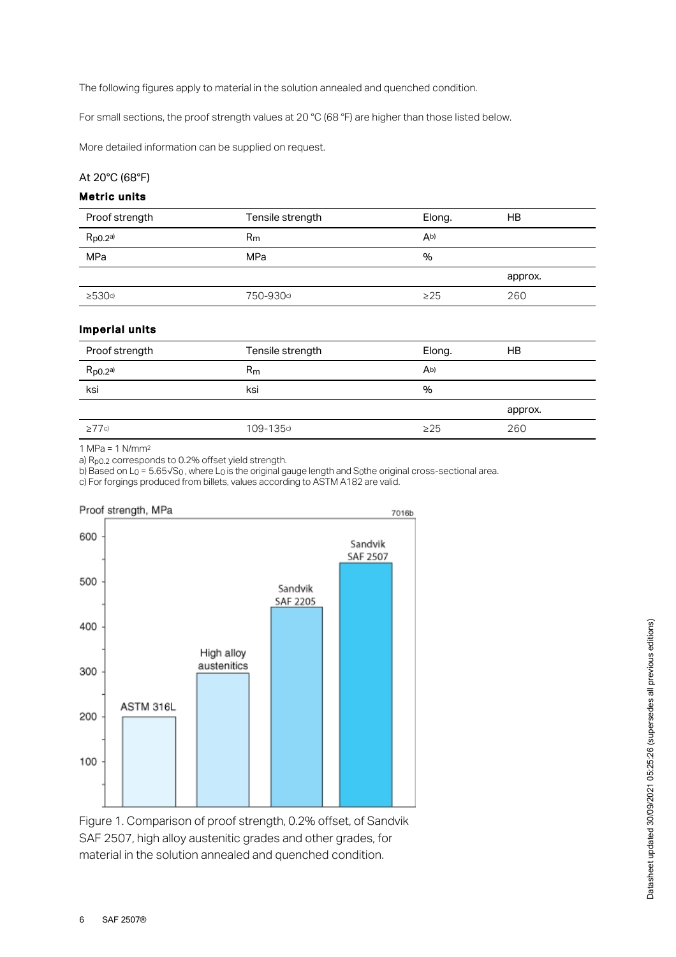The following figures apply to material in the solution annealed and quenched condition.

For small sections, the proof strength values at 20 °C (68 °F) are higher than those listed below.

More detailed information can be supplied on request.

## At 20°C (68°F)

# Metric units

| Proof strength     | Tensile strength | Elong.         | НB      |
|--------------------|------------------|----------------|---------|
| $R_{p0.2}$ a)      | $R_{m}$          | A <sub>b</sub> |         |
| MPa                | MPa              | %              |         |
|                    |                  |                | approx. |
| $\geq$ 530 $\circ$ | 750-930c)        | $\geq$ 25      | 260     |
|                    |                  |                |         |

## Imperial units

| Proof strength | Tensile strength | Elong.    | HB      |
|----------------|------------------|-----------|---------|
| $R_{p0.2}$ a)  | $R_{m}$          | Ab)       |         |
| ksi            | ksi              | $\%$      |         |
|                |                  |           | approx. |
| $\geq$ 77c)    | 109-135c)        | $\geq$ 25 | 260     |
|                |                  |           |         |

1 MPa = 1 N/mm 2

a) R<sub>p0.2</sub> corresponds to 0.2% offset yield strength.

b) Based on L<sub>0</sub> = 5.65√S<sub>0</sub>, where L<sub>0</sub> is the original gauge length and S $_0$ the original cross-sectional area.

c) For forgings produced from billets, values according to ASTM A182 are valid.



Figure 1. Comparison of proof strength, 0.2% offset, of Sandvik SAF 2507, high alloy austenitic grades and other grades, for material in the solution annealed and quenched condition.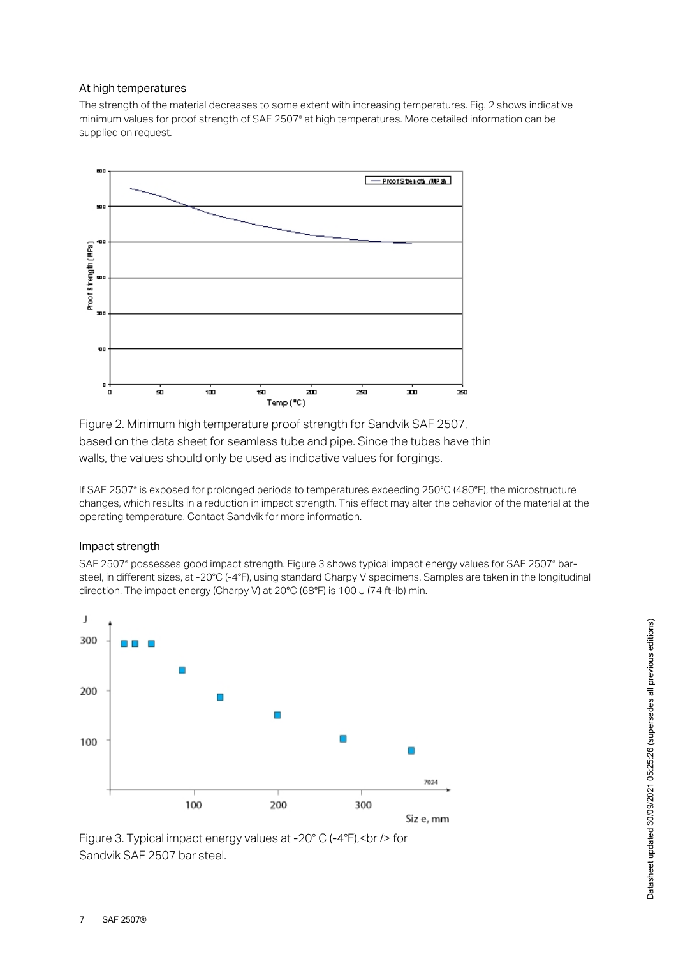## At high temperatures

The strength of the material decreases to some extent with increasing temperatures. Fig. 2 shows indicative minimum values for proof strength of SAF 2507<sup>®</sup> at high temperatures. More detailed information can be supplied on request.



Figure 2. Minimum high temperature proof strength for Sandvik SAF 2507, based on the data sheet for seamless tube and pipe. Since the tubes have thin walls, the values should only be used as indicative values for forgings.

If SAF 2507 is exposed for prolonged periods to temperatures exceeding 250°C (480°F), the microstructure ® changes, which results in a reduction in impact strength. This effect may alter the behavior of the material at the operating temperature. Contact Sandvik for more information.

#### Impact strength

SAF 2507° possesses good impact strength. Figure 3 shows typical impact energy values for SAF 2507° barsteel, in different sizes, at -20°C (-4°F), using standard Charpy V specimens. Samples are taken in the longitudinal direction. The impact energy (Charpy V) at 20°C (68°F) is 100 J (74 ft-lb) min.



Figure 3. Typical impact energy values at -20° C (-4°F),<br /> for Sandvik SAF 2507 bar steel.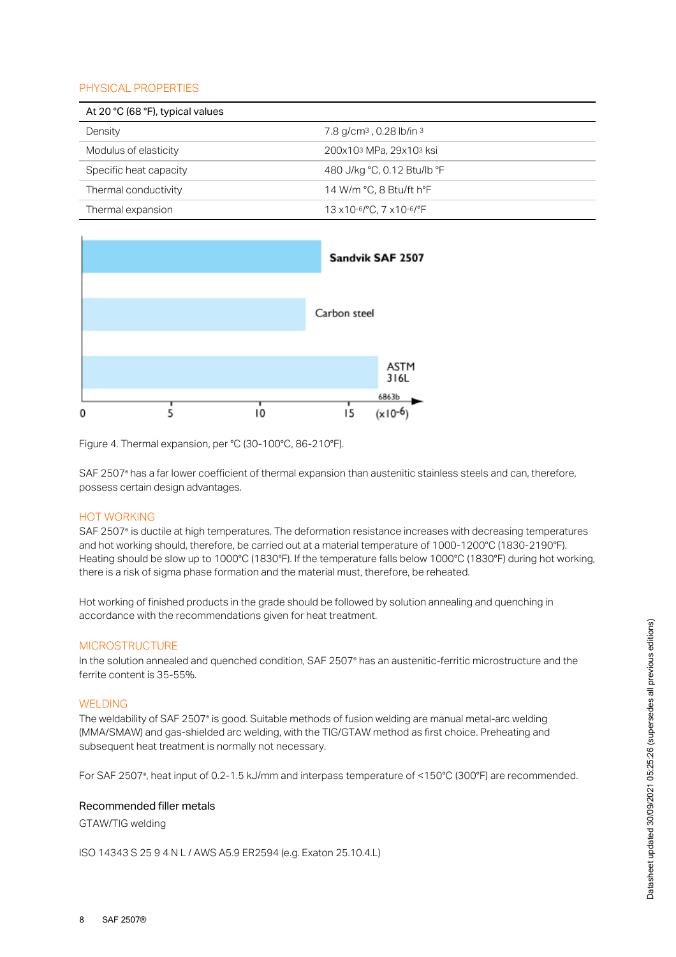# PHYSICAL PROPERTIES

| At 20 °C (68 °F), typical values |                                        |  |
|----------------------------------|----------------------------------------|--|
| Density                          | 7.8 g/cm <sup>3</sup> , 0.28 lb/in $3$ |  |
| Modulus of elasticity            | 200x103 MPa, 29x103 ksi                |  |
| Specific heat capacity           | 480 J/kg °C, 0.12 Btu/lb °F            |  |
| Thermal conductivity             | 14 W/m °C, 8 Btu/ft h°F                |  |
| Thermal expansion                | 13 x 10-6/°C, 7 x 10-6/°F              |  |



Figure 4. Thermal expansion, per °C (30-100°C, 86-210°F).

SAF 2507° has a far lower coefficient of thermal expansion than austenitic stainless steels and can, therefore, possess certain design advantages.

## HOT WORKING

SAF 2507<sup>®</sup> is ductile at high temperatures. The deformation resistance increases with decreasing temperatures and hot working should, therefore, be carried out at a material temperature of 1000-1200°C (1830-2190°F). Heating should be slow up to 1000°C (1830°F). If the temperature falls below 1000°C (1830°F) during hot working, there is a risk of sigma phase formation and the material must, therefore, be reheated.

Hot working of finished products in the grade should be followed by solution annealing and quenching in accordance with the recommendations given for heat treatment.

#### **MICROSTRUCTURE**

In the solution annealed and quenched condition, SAF 2507° has an austenitic-ferritic microstructure and the ferrite content is 35-55%.

#### WELDING

The weldability of SAF 2507° is good. Suitable methods of fusion welding are manual metal-arc welding (MMA/SMAW) and gas-shielded arc welding, with the TIG/GTAW method as first choice. Preheating and subsequent heat treatment is normally not necessary.

For SAF 2507°, heat input of 0.2-1.5 kJ/mm and interpass temperature of <150°C (300°F) are recommended.

#### Recommended filler metals

GTAW/TIG welding

ISO 14343 S 25 9 4 N L / AWS A5.9 ER2594 (e.g. Exaton 25.10.4.L)